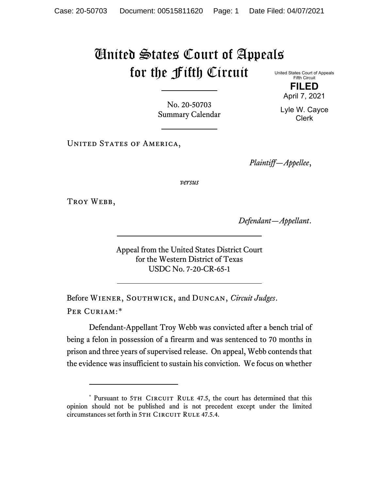## United States Court of Appeals for the Fifth Circuit

United States Court of Appeals Fifth Circuit **FILED**

April 7, 2021

No. 20-50703 Summary Calendar

UNITED STATES OF AMERICA,

*Plaintiff—Appellee*,

*versus*

TROY WEBB,

*Defendant—Appellant*.

Appeal from the United States District Court for the Western District of Texas USDC No. 7-20-CR-65-1

Before Wiener, Southwick, and Duncan, *Circuit Judges*. Per Curiam:[\\*](#page-0-0)

Defendant-Appellant Troy Webb was convicted after a bench trial of being a felon in possession of a firearm and was sentenced to 70 months in prison and three years of supervised release. On appeal, Webb contends that the evidence was insufficient to sustain his conviction. We focus on whether

Lyle W. Cayce Clerk

<span id="page-0-0"></span><sup>\*</sup> Pursuant to 5TH CIRCUIT RULE 47.5, the court has determined that this opinion should not be published and is not precedent except under the limited circumstances set forth in 5TH CIRCUIT RULE 47.5.4.